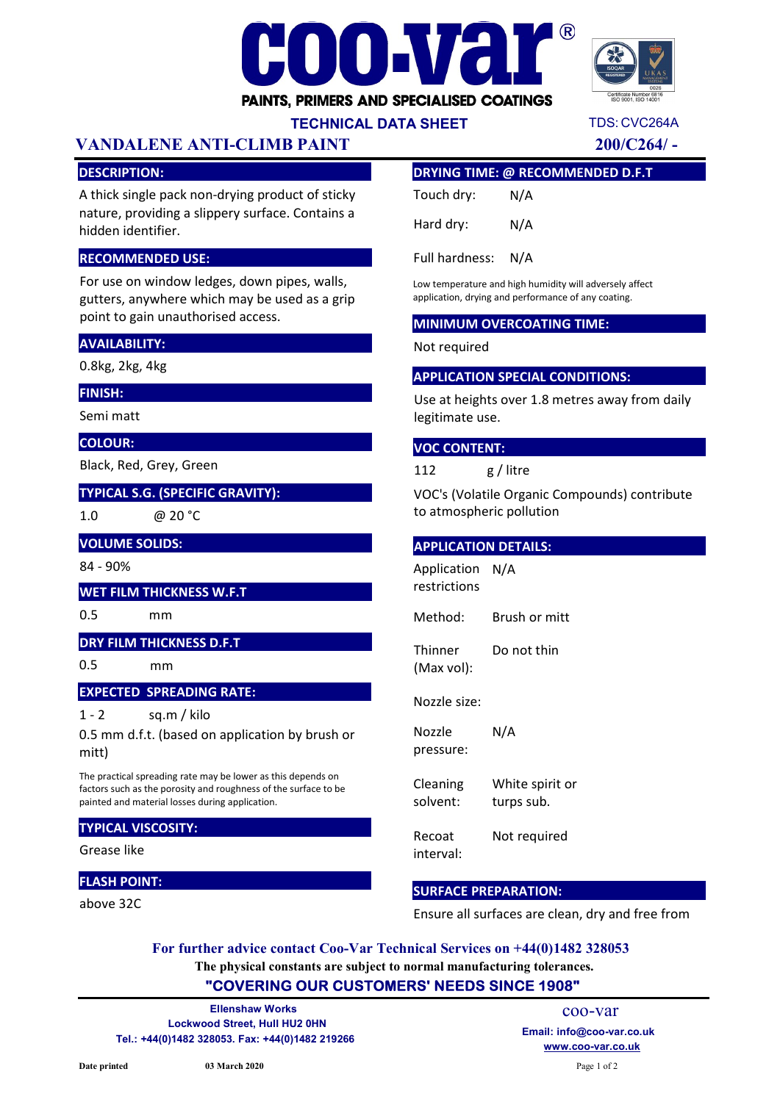# HOF PAINTS, PRIMERS AND SPECIALISED COATINGS



TDS: CVC264A

## TECHNICAL DATA SHEET

# VANDALENE ANTI-CLIMB PAINT 200/C264/ -

#### DESCRIPTION:

A thick single pack non-drying product of sticky nature, providing a slippery surface. Contains a hidden identifier.

#### RECOMMENDED USE:

For use on window ledges, down pipes, walls, gutters, anywhere which may be used as a grip point to gain unauthorised access.

#### AVAILABILITY:

0.8kg, 2kg, 4kg

#### FINISH:

Semi matt

#### COLOUR:

Black, Red, Grey, Green

TYPICAL S.G. (SPECIFIC GRAVITY):

1.0

@ 20 °C

VOLUME SOLIDS:

84 - 90%

#### WET FILM THICKNESS W.F.T

0.5 mm

#### DRY FILM THICKNESS D.F.T

0.5 mm

## EXPECTED SPREADING RATE:

 $1 - 2$ sq.m / kilo

0.5 mm d.f.t. (based on application by brush or mitt)

The practical spreading rate may be lower as this depends on factors such as the porosity and roughness of the surface to be painted and material losses during application.

#### TYPICAL VISCOSITY:

Grease like

#### FLASH POINT:

above 32C

#### DRYING TIME: @ RECOMMENDED D.F.T

| Touch dry: | N/A |
|------------|-----|
| Hard dry:  | N/A |

Full hardness: N/A

Low temperature and high humidity will adversely affect application, drying and performance of any coating.

#### MINIMUM OVERCOATING TIME:

#### Not required

#### APPLICATION SPECIAL CONDITIONS:

Use at heights over 1.8 metres away from daily legitimate use.

#### VOC CONTENT:

112 g / litre

VOC's (Volatile Organic Compounds) contribute to atmospheric pollution

#### APPLICATION DETAILS:

Application N/A restrictions

Method: Brush or mitt

**Thinner** (Max vol): Do not thin

Nozzle size:

Nozzle pressure: N/A

Cleaning solvent: White spirit or turps sub.

Recoat interval: Not required

#### SURFACE PREPARATION:

Ensure all surfaces are clean, dry and free from

The physical constants are subject to normal manufacturing tolerances. For further advice contact Coo-Var Technical Services on +44(0)1482 328053

# "COVERING OUR CUSTOMERS' NEEDS SINCE 1908"

Lockwood Street, Hull HU2 0HN Tel.: +44(0)1482 328053. Fax: +44(0)1482 219266 www.coo-var.co.uk Ellenshaw Works

coo-var Email: info@coo-var.co.uk